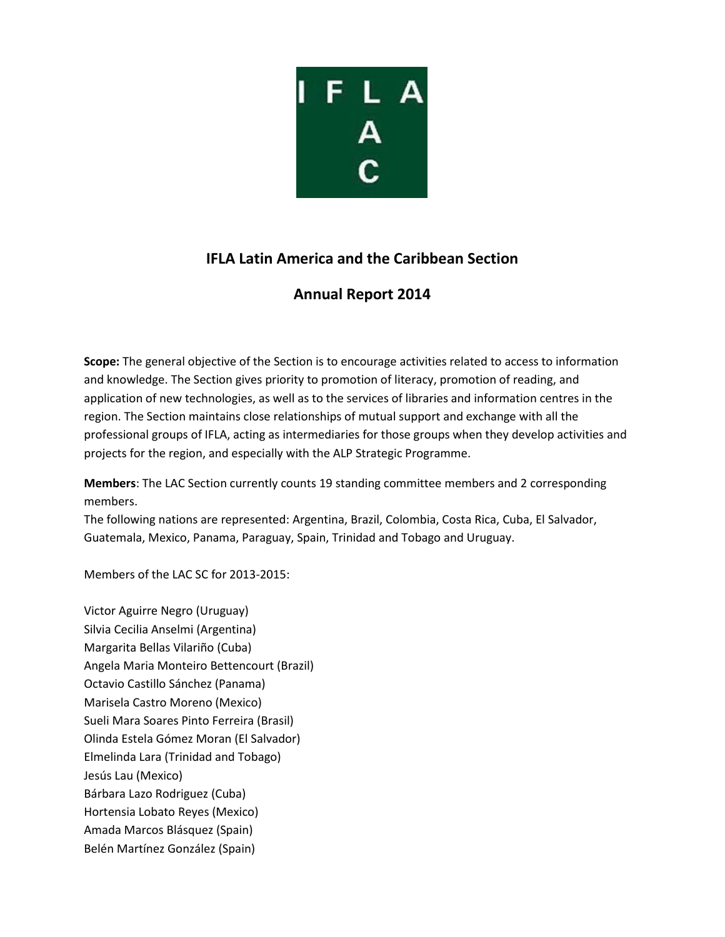

# **IFLA Latin America and the Caribbean Section**

# **Annual Report 2014**

**Scope:** The general objective of the Section is to encourage activities related to access to information and knowledge. The Section gives priority to promotion of literacy, promotion of reading, and application of new technologies, as well as to the services of libraries and information centres in the region. The Section maintains close relationships of mutual support and exchange with all the professional groups of IFLA, acting as intermediaries for those groups when they develop activities and projects for the region, and especially with the ALP Strategic Programme.

**Members**: The LAC Section currently counts 19 standing committee members and 2 corresponding members.

The following nations are represented: Argentina, Brazil, Colombia, Costa Rica, Cuba, El Salvador, Guatemala, Mexico, Panama, Paraguay, Spain, Trinidad and Tobago and Uruguay.

Members of the LAC SC for 2013-2015:

Victor Aguirre Negro (Uruguay) Silvia Cecilia Anselmi (Argentina) Margarita Bellas Vilariño (Cuba) Angela Maria Monteiro Bettencourt (Brazil) Octavio Castillo Sánchez (Panama) Marisela Castro Moreno (Mexico) Sueli Mara Soares Pinto Ferreira (Brasil) Olinda Estela Gómez Moran (El Salvador) Elmelinda Lara (Trinidad and Tobago) Jesús Lau (Mexico) Bárbara Lazo Rodriguez (Cuba) Hortensia Lobato Reyes (Mexico) Amada Marcos Blásquez (Spain) Belén Martínez González (Spain)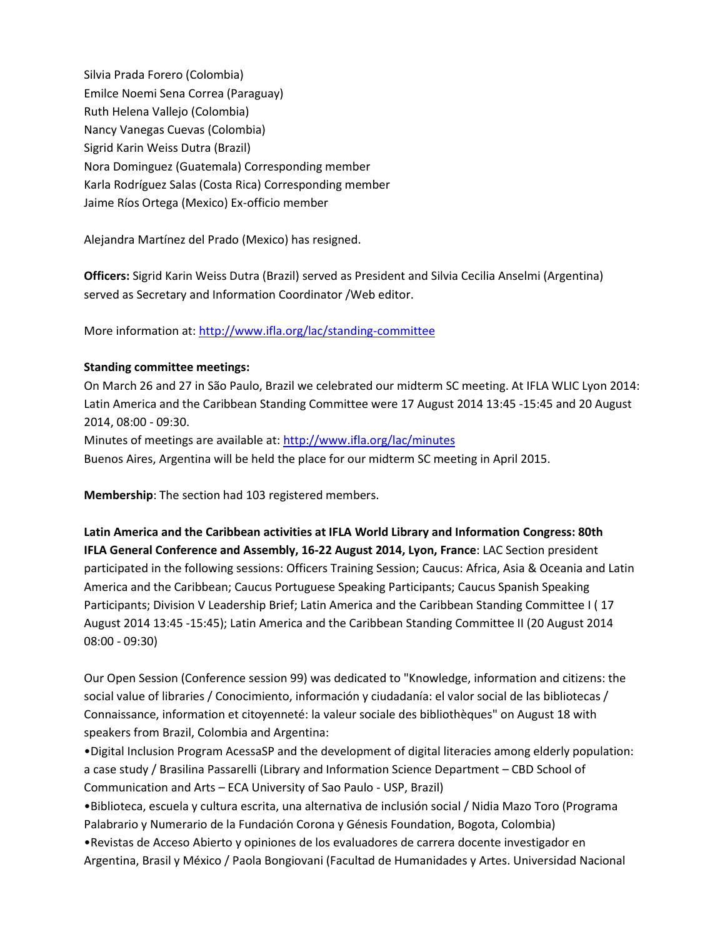Silvia Prada Forero (Colombia) Emilce Noemi Sena Correa (Paraguay) Ruth Helena Vallejo (Colombia) Nancy Vanegas Cuevas (Colombia) Sigrid Karin Weiss Dutra (Brazil) Nora Dominguez (Guatemala) Corresponding member Karla Rodríguez Salas (Costa Rica) Corresponding member Jaime Ríos Ortega (Mexico) Ex-officio member

Alejandra Martínez del Prado (Mexico) has resigned.

**Officers:** Sigrid Karin Weiss Dutra (Brazil) served as President and Silvia Cecilia Anselmi (Argentina) served as Secretary and Information Coordinator /Web editor.

More information at:<http://www.ifla.org/lac/standing-committee>

### **Standing committee meetings:**

On March 26 and 27 in São Paulo, Brazil we celebrated our midterm SC meeting. At IFLA WLIC Lyon 2014: Latin America and the Caribbean Standing Committee were 17 August 2014 13:45 -15:45 and 20 August 2014, 08:00 - 09:30. Minutes of meetings are available at:<http://www.ifla.org/lac/minutes> Buenos Aires, Argentina will be held the place for our midterm SC meeting in April 2015.

**Membership**: The section had 103 registered members.

**Latin America and the Caribbean activities at IFLA World Library and Information Congress: 80th IFLA General Conference and Assembly, 16-22 August 2014, Lyon, France**: LAC Section president participated in the following sessions: Officers Training Session; Caucus: Africa, Asia & Oceania and Latin America and the Caribbean; Caucus Portuguese Speaking Participants; Caucus Spanish Speaking Participants; Division V Leadership Brief; Latin America and the Caribbean Standing Committee I ( 17 August 2014 13:45 -15:45); Latin America and the Caribbean Standing Committee II (20 August 2014 08:00 - 09:30)

Our Open Session (Conference session 99) was dedicated to "Knowledge, information and citizens: the social value of libraries / Conocimiento, información y ciudadanía: el valor social de las bibliotecas / Connaissance, information et citoyenneté: la valeur sociale des bibliothèques" on August 18 with speakers from Brazil, Colombia and Argentina:

•Digital Inclusion Program AcessaSP and the development of digital literacies among elderly population: a case study / Brasilina Passarelli (Library and Information Science Department – CBD School of Communication and Arts – ECA University of Sao Paulo - USP, Brazil)

•Biblioteca, escuela y cultura escrita, una alternativa de inclusión social / Nidia Mazo Toro (Programa Palabrario y Numerario de la Fundación Corona y Génesis Foundation, Bogota, Colombia)

•Revistas de Acceso Abierto y opiniones de los evaluadores de carrera docente investigador en Argentina, Brasil y México / Paola Bongiovani (Facultad de Humanidades y Artes. Universidad Nacional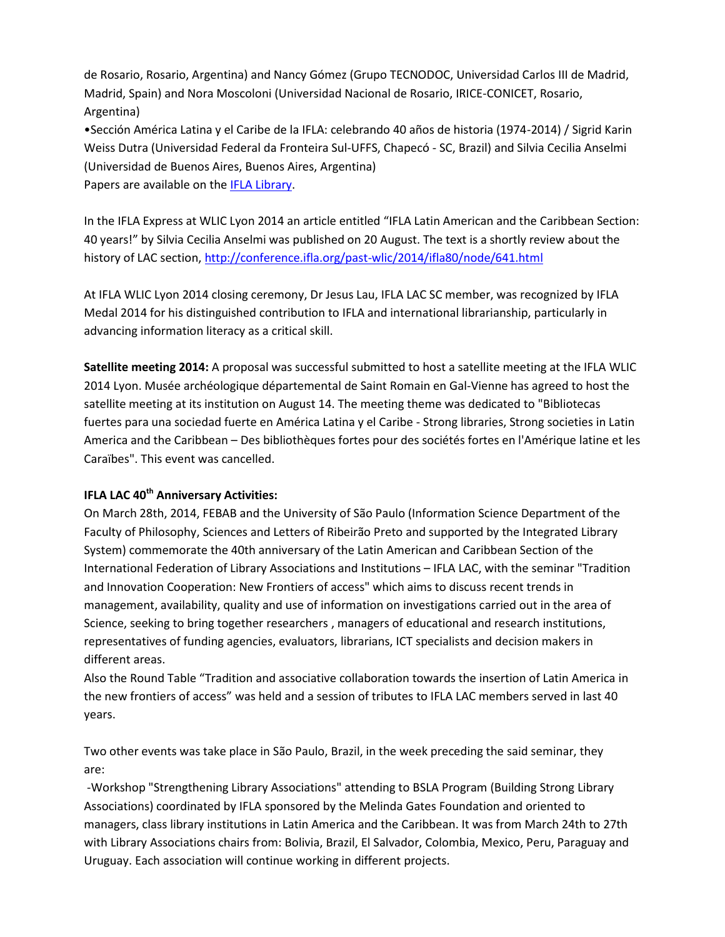de Rosario, Rosario, Argentina) and Nancy Gómez (Grupo TECNODOC, Universidad Carlos III de Madrid, Madrid, Spain) and Nora Moscoloni (Universidad Nacional de Rosario, IRICE-CONICET, Rosario, Argentina)

•Sección América Latina y el Caribe de la IFLA: celebrando 40 años de historia (1974-2014) / Sigrid Karin Weiss Dutra (Universidad Federal da Fronteira Sul-UFFS, Chapecó - SC, Brazil) and Silvia Cecilia Anselmi (Universidad de Buenos Aires, Buenos Aires, Argentina)

Papers are available on the IFLA [Library.](http://library.ifla.org/)

In the IFLA Express at WLIC Lyon 2014 an article entitled "IFLA Latin American and the Caribbean Section: 40 years!" by Silvia Cecilia Anselmi was published on 20 August. The text is a shortly review about the history of LAC section[, http://conference.ifla.org/past-wlic/2014/ifla80/node/641.html](http://conference.ifla.org/past-wlic/2014/ifla80/node/641.html)

At IFLA WLIC Lyon 2014 closing ceremony, Dr Jesus Lau, IFLA LAC SC member, was recognized by IFLA Medal 2014 for his distinguished contribution to IFLA and international librarianship, particularly in advancing information literacy as a critical skill.

**Satellite meeting 2014:** A proposal was successful submitted to host a satellite meeting at the IFLA WLIC 2014 Lyon. Musée archéologique départemental de Saint Romain en Gal-Vienne has agreed to host the satellite meeting at its institution on August 14. The meeting theme was dedicated to "Bibliotecas fuertes para una sociedad fuerte en América Latina y el Caribe - Strong libraries, Strong societies in Latin America and the Caribbean – Des bibliothèques fortes pour des sociétés fortes en l'Amérique latine et les Caraïbes". This event was cancelled.

## **IFLA LAC 40th Anniversary Activities:**

On March 28th, 2014, FEBAB and the University of São Paulo (Information Science Department of the Faculty of Philosophy, Sciences and Letters of Ribeirão Preto and supported by the Integrated Library System) commemorate the 40th anniversary of the Latin American and Caribbean Section of the International Federation of Library Associations and Institutions – IFLA LAC, with the seminar "Tradition and Innovation Cooperation: New Frontiers of access" which aims to discuss recent trends in management, availability, quality and use of information on investigations carried out in the area of Science, seeking to bring together researchers , managers of educational and research institutions, representatives of funding agencies, evaluators, librarians, ICT specialists and decision makers in different areas.

Also the Round Table "Tradition and associative collaboration towards the insertion of Latin America in the new frontiers of access" was held and a session of tributes to IFLA LAC members served in last 40 years.

Two other events was take place in São Paulo, Brazil, in the week preceding the said seminar, they are:

-Workshop "Strengthening Library Associations" attending to BSLA Program (Building Strong Library Associations) coordinated by IFLA sponsored by the Melinda Gates Foundation and oriented to managers, class library institutions in Latin America and the Caribbean. It was from March 24th to 27th with Library Associations chairs from: Bolivia, Brazil, El Salvador, Colombia, Mexico, Peru, Paraguay and Uruguay. Each association will continue working in different projects.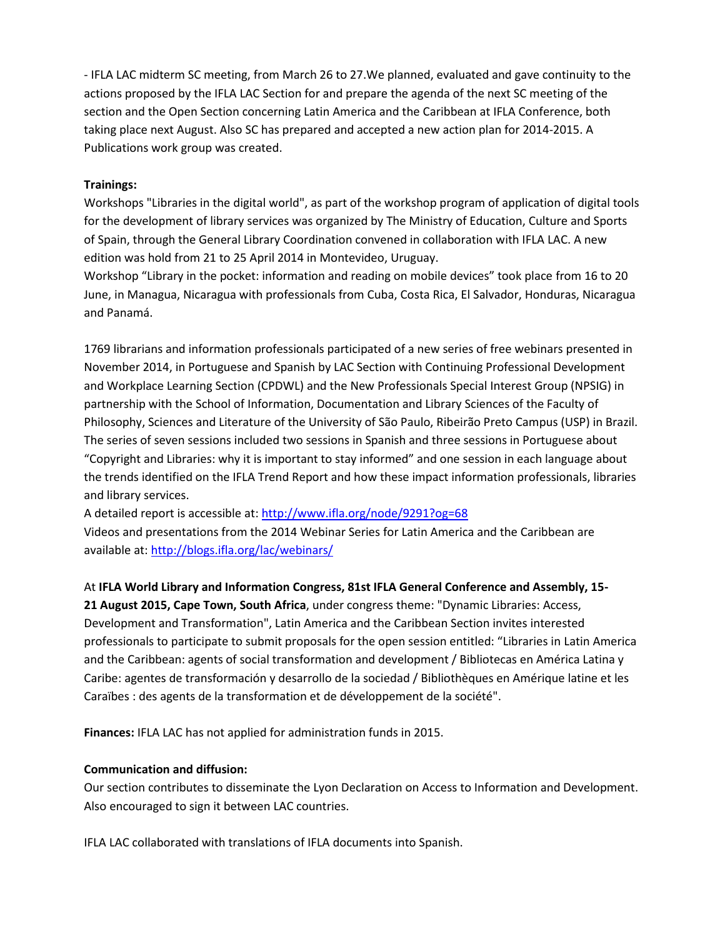- IFLA LAC midterm SC meeting, from March 26 to 27.We planned, evaluated and gave continuity to the actions proposed by the IFLA LAC Section for and prepare the agenda of the next SC meeting of the section and the Open Section concerning Latin America and the Caribbean at IFLA Conference, both taking place next August. Also SC has prepared and accepted a new action plan for 2014-2015. A Publications work group was created.

#### **Trainings:**

Workshops "Libraries in the digital world", as part of the workshop program of application of digital tools for the development of library services was organized by The Ministry of Education, Culture and Sports of Spain, through the General Library Coordination convened in collaboration with IFLA LAC. A new edition was hold from 21 to 25 April 2014 in Montevideo, Uruguay.

Workshop "Library in the pocket: information and reading on mobile devices" took place from 16 to 20 June, in Managua, Nicaragua with professionals from Cuba, Costa Rica, El Salvador, Honduras, Nicaragua and Panamá.

1769 librarians and information professionals participated of a new series of free webinars presented in November 2014, in Portuguese and Spanish by LAC Section with Continuing Professional Development and Workplace Learning Section (CPDWL) and the New Professionals Special Interest Group (NPSIG) in partnership with the School of Information, Documentation and Library Sciences of the Faculty of Philosophy, Sciences and Literature of the University of São Paulo, Ribeirão Preto Campus (USP) in Brazil. The series of seven sessions included two sessions in Spanish and three sessions in Portuguese about "Copyright and Libraries: why it is important to stay informed" and one session in each language about the trends identified on the IFLA Trend Report and how these impact information professionals, libraries and library services.

A detailed report is accessible at:<http://www.ifla.org/node/9291?og=68>

Videos and presentations from the 2014 Webinar Series for Latin America and the Caribbean are available at:<http://blogs.ifla.org/lac/webinars/>

At **IFLA World Library and Information Congress, 81st IFLA General Conference and Assembly, 15- 21 August 2015, Cape Town, South Africa**, under congress theme: "Dynamic Libraries: Access, Development and Transformation", Latin America and the Caribbean Section invites interested professionals to participate to submit proposals for the open session entitled: "Libraries in Latin America and the Caribbean: agents of social transformation and development / Bibliotecas en América Latina y Caribe: agentes de transformación y desarrollo de la sociedad / Bibliothèques en Amérique latine et les Caraïbes : des agents de la transformation et de développement de la société".

**Finances:** IFLA LAC has not applied for administration funds in 2015.

#### **Communication and diffusion:**

Our section contributes to disseminate the Lyon Declaration on Access to Information and Development. Also encouraged to sign it between LAC countries.

IFLA LAC collaborated with translations of IFLA documents into Spanish.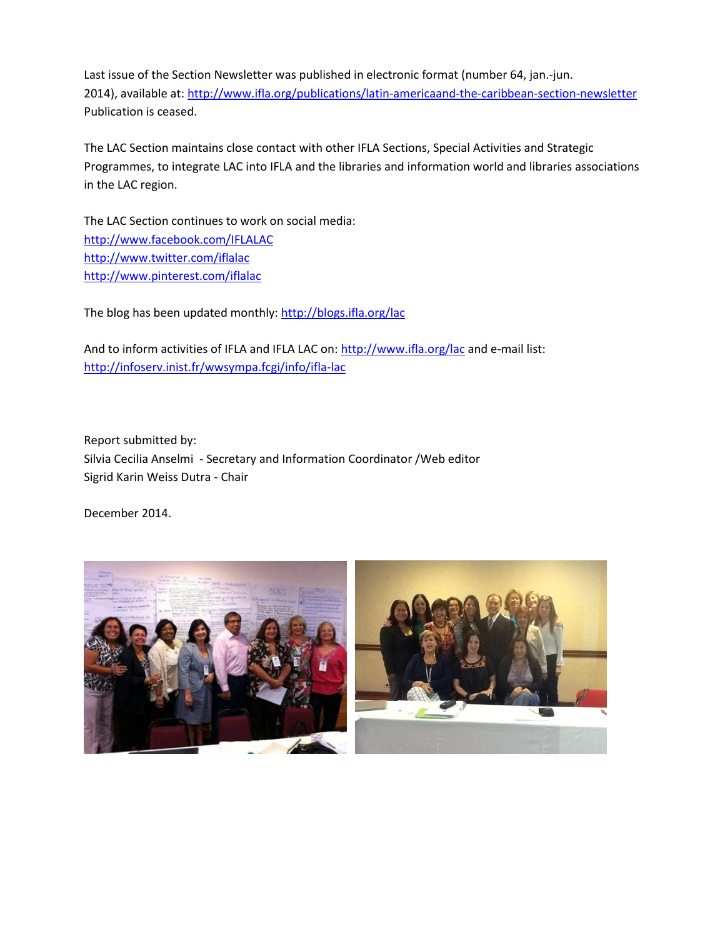Last issue of the Section Newsletter was published in electronic format (number 64, jan.-jun. 2014), available at:<http://www.ifla.org/publications/latin-americaand-the-caribbean-section-newsletter> Publication is ceased.

The LAC Section maintains close contact with other IFLA Sections, Special Activities and Strategic Programmes, to integrate LAC into IFLA and the libraries and information world and libraries associations in the LAC region.

The LAC Section continues to work on social media: <http://www.facebook.com/IFLALAC> <http://www.twitter.com/iflalac> <http://www.pinterest.com/iflalac>

The blog has been updated monthly:<http://blogs.ifla.org/lac>

And to inform activities of IFLA and IFLA LAC on:<http://www.ifla.org/lac> and e-mail list: <http://infoserv.inist.fr/wwsympa.fcgi/info/ifla-lac>

Report submitted by: Silvia Cecilia Anselmi - Secretary and Information Coordinator /Web editor Sigrid Karin Weiss Dutra - Chair

December 2014.

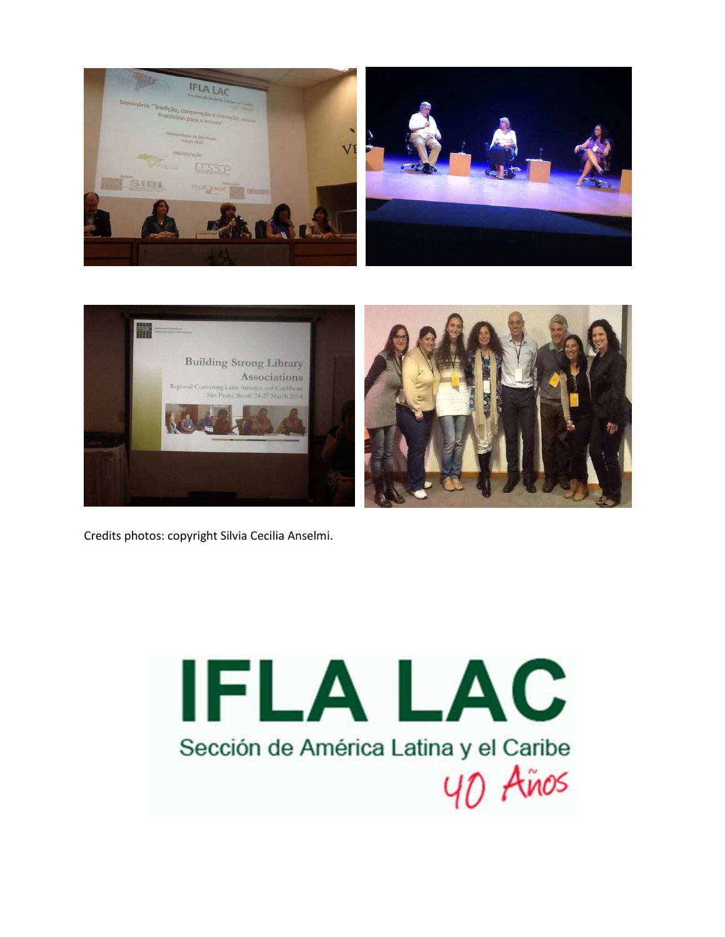



Credits photos: copyright Silvia Cecilia Anselmi.